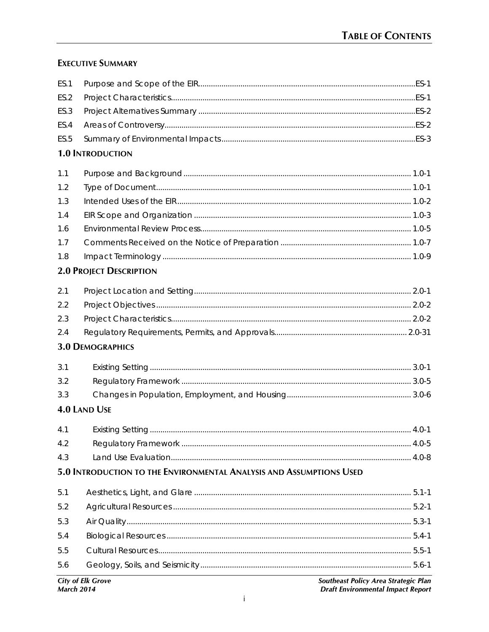# **EXECUTIVE SUMMARY**

| 5.0 INTRODUCTION TO THE ENVIRONMENTAL ANALYSIS AND ASSUMPTIONS USED<br>5.2-1. 5.2-1 |  |
|-------------------------------------------------------------------------------------|--|
|                                                                                     |  |
|                                                                                     |  |
|                                                                                     |  |
|                                                                                     |  |
|                                                                                     |  |
|                                                                                     |  |
|                                                                                     |  |
|                                                                                     |  |
|                                                                                     |  |
|                                                                                     |  |
| <b>4.0 LAND USE</b>                                                                 |  |
|                                                                                     |  |
|                                                                                     |  |
|                                                                                     |  |
| <b>3.0 DEMOGRAPHICS</b>                                                             |  |
|                                                                                     |  |
|                                                                                     |  |
|                                                                                     |  |
|                                                                                     |  |
| <b>2.0 PROJECT DESCRIPTION</b>                                                      |  |
|                                                                                     |  |
|                                                                                     |  |
|                                                                                     |  |
|                                                                                     |  |
|                                                                                     |  |
|                                                                                     |  |
|                                                                                     |  |
| <b>1.0 INTRODUCTION</b>                                                             |  |
|                                                                                     |  |
|                                                                                     |  |
|                                                                                     |  |
|                                                                                     |  |
|                                                                                     |  |
|                                                                                     |  |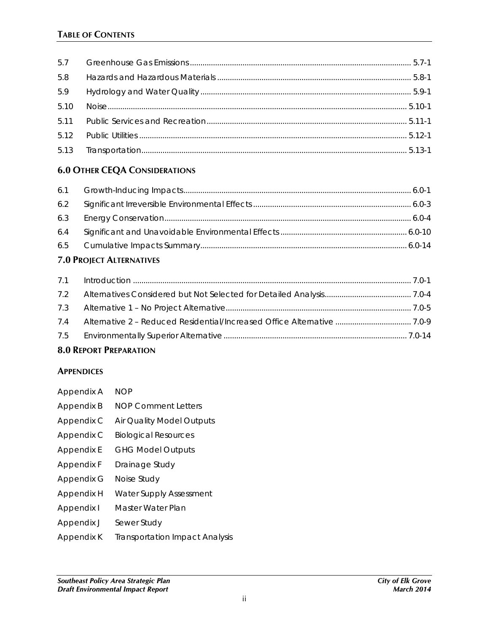| 5.8  |  |
|------|--|
| 5.9  |  |
| 5.10 |  |
| 5.11 |  |
|      |  |
|      |  |

### **6.0 OTHER CEQA CONSIDERATIONS**

# **7.0 PROJECT ALTERNATIVES**

| 7.2 |  |
|-----|--|
|     |  |
| 7.4 |  |
|     |  |
|     |  |

### **8.0 REPORT PREPARATION**

#### **APPENDICES**

| Appendix A | <b>NOP</b>                            |
|------------|---------------------------------------|
| Appendix B | <b>NOP Comment Letters</b>            |
| Appendix C | Air Quality Model Outputs             |
| Appendix C | <b>Biological Resources</b>           |
| Appendix E | <b>GHG Model Outputs</b>              |
| Appendix F | Drainage Study                        |
| Appendix G | Noise Study                           |
| Appendix H | <b>Water Supply Assessment</b>        |
| Appendix I | Master Water Plan                     |
| Appendix J | Sewer Study                           |
| Appendix K | <b>Transportation Impact Analysis</b> |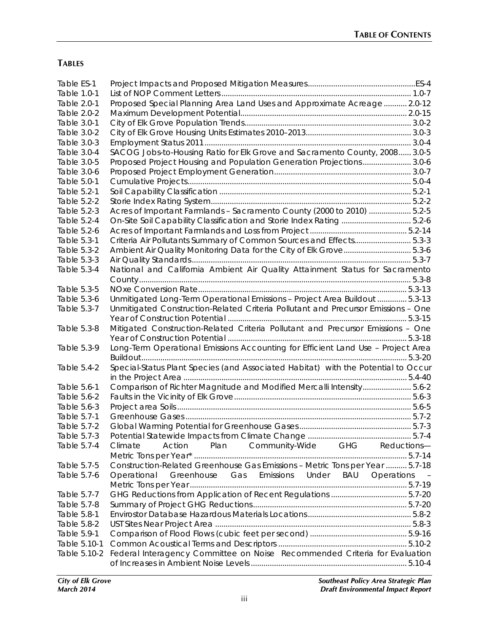## **TABLES**

| Table ES-1   |                                                                                   |  |
|--------------|-----------------------------------------------------------------------------------|--|
| Table 1.0-1  |                                                                                   |  |
| Table 2.0-1  | Proposed Special Planning Area Land Uses and Approximate Acreage 2.0-12           |  |
| Table 2.0-2  |                                                                                   |  |
| Table 3.0-1  |                                                                                   |  |
| Table 3.0-2  |                                                                                   |  |
| Table 3.0-3  |                                                                                   |  |
| Table 3.0-4  | SACOG Jobs-to-Housing Ratio for Elk Grove and Sacramento County, 2008 3.0-5       |  |
| Table 3.0-5  | Proposed Project Housing and Population Generation Projections 3.0-6              |  |
| Table 3.0-6  |                                                                                   |  |
| Table 5.0-1  |                                                                                   |  |
| Table 5.2-1  |                                                                                   |  |
| Table 5.2-2  |                                                                                   |  |
| Table 5.2-3  | Acres of Important Farmlands - Sacramento County (2000 to 2010)  5.2-5            |  |
| Table 5.2-4  | On-Site Soil Capability Classification and Storie Index Rating  5.2-6             |  |
| Table 5.2-6  |                                                                                   |  |
| Table 5.3-1  | Criteria Air Pollutants Summary of Common Sources and Effects 5.3-3               |  |
| Table 5.3-2  | Ambient Air Quality Monitoring Data for the City of Elk Grove 5.3-6               |  |
| Table 5.3-3  |                                                                                   |  |
| Table 5.3-4  | National and California Ambient Air Quality Attainment Status for Sacramento      |  |
|              |                                                                                   |  |
| Table 5.3-5  |                                                                                   |  |
| Table 5.3-6  | Unmitigated Long-Term Operational Emissions - Project Area Buildout  5.3-13       |  |
| Table 5.3-7  | Unmitigated Construction-Related Criteria Pollutant and Precursor Emissions - One |  |
|              |                                                                                   |  |
| Table 5.3-8  | Mitigated Construction-Related Criteria Pollutant and Precursor Emissions - One   |  |
|              |                                                                                   |  |
| Table 5.3-9  | Long-Term Operational Emissions Accounting for Efficient Land Use - Project Area  |  |
|              |                                                                                   |  |
| Table 5.4-2  | Special-Status Plant Species (and Associated Habitat) with the Potential to Occur |  |
|              |                                                                                   |  |
| Table 5.6-1  | Comparison of Richter Magnitude and Modified Mercalli Intensity5.6-2              |  |
| Table 5.6-2  |                                                                                   |  |
| Table 5.6-3  |                                                                                   |  |
| Table 5.7-1  |                                                                                   |  |
| Table 5.7-2  |                                                                                   |  |
| Table 5.7-3  |                                                                                   |  |
| Table 5.7-4  | Plan<br>Community-Wide GHG Reductions-<br>Action<br>Climate                       |  |
|              |                                                                                   |  |
| Table 5.7-5  | Construction-Related Greenhouse Gas Emissions - Metric Tons per Year  5.7-18      |  |
| Table 5.7-6  | Greenhouse Gas Emissions Under<br>BAU<br>Operations<br>Operational                |  |
|              |                                                                                   |  |
| Table 5.7-7  |                                                                                   |  |
| Table 5.7-8  |                                                                                   |  |
| Table 5.8-1  |                                                                                   |  |
| Table 5.8-2  |                                                                                   |  |
| Table 5.9-1  |                                                                                   |  |
| Table 5.10-1 |                                                                                   |  |
| Table 5.10-2 | Federal Interagency Committee on Noise Recommended Criteria for Evaluation        |  |
|              |                                                                                   |  |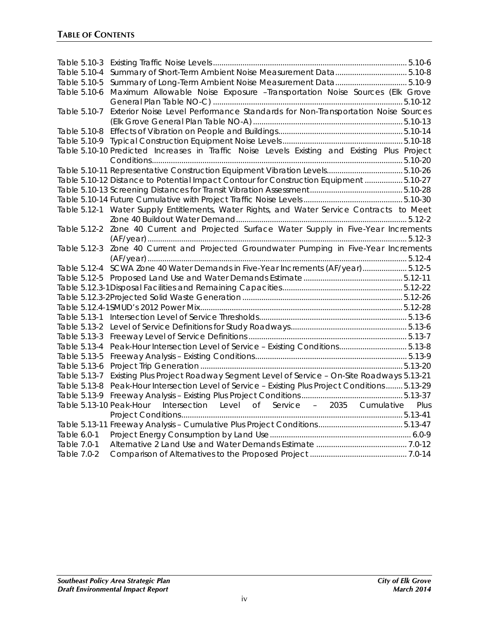| Table 5.10-3<br>Table 5.10-4 | Summary of Short-Term Ambient Noise Measurement Data5.10-8                                   |
|------------------------------|----------------------------------------------------------------------------------------------|
| Table 5.10-5                 | Summary of Long-Term Ambient Noise Measurement Data5.10-9                                    |
| Table 5.10-6                 |                                                                                              |
|                              | Maximum Allowable Noise Exposure -Transportation Noise Sources (Elk Grove                    |
| Table 5.10-7                 | Exterior Noise Level Performance Standards for Non-Transportation Noise Sources              |
|                              |                                                                                              |
|                              |                                                                                              |
|                              | Table 5.10-10 Predicted Increases in Traffic Noise Levels Existing and Existing Plus Project |
|                              |                                                                                              |
|                              | Table 5.10-11 Representative Construction Equipment Vibration Levels 5.10-26                 |
|                              | Table 5.10-12 Distance to Potential Impact Contour for Construction Equipment  5.10-27       |
|                              |                                                                                              |
|                              |                                                                                              |
|                              | Table 5.12-1 Water Supply Entitlements, Water Rights, and Water Service Contracts to Meet    |
|                              |                                                                                              |
|                              | Table 5.12-2 Zone 40 Current and Projected Surface Water Supply in Five-Year Increments      |
|                              |                                                                                              |
|                              | Table 5.12-3 Zone 40 Current and Projected Groundwater Pumping in Five-Year Increments       |
|                              |                                                                                              |
|                              | Table 5.12-4 SCWA Zone 40 Water Demands in Five-Year Increments (AF/year) 5.12-5             |
|                              |                                                                                              |
|                              |                                                                                              |
|                              |                                                                                              |
|                              |                                                                                              |
|                              |                                                                                              |
|                              |                                                                                              |
| Table 5.13-3                 |                                                                                              |
|                              | Table 5.13-4 Peak-Hour Intersection Level of Service - Existing Conditions5.13-8             |
| Table 5.13-5                 |                                                                                              |
| Table 5.13-6                 |                                                                                              |
| Table 5.13-7                 | Existing Plus Project Roadway Segment Level of Service - On-Site Roadways 5.13-21            |
| Table 5.13-8                 | Peak-Hour Intersection Level of Service - Existing Plus Project Conditions  5.13-29          |
|                              |                                                                                              |
|                              | Table 5.13-10 Peak-Hour Intersection Level of Service - 2035 Cumulative Plus                 |
|                              |                                                                                              |
|                              |                                                                                              |
| Table 6.0-1                  |                                                                                              |
| Table 7.0-1                  |                                                                                              |
| Table 7.0-2                  |                                                                                              |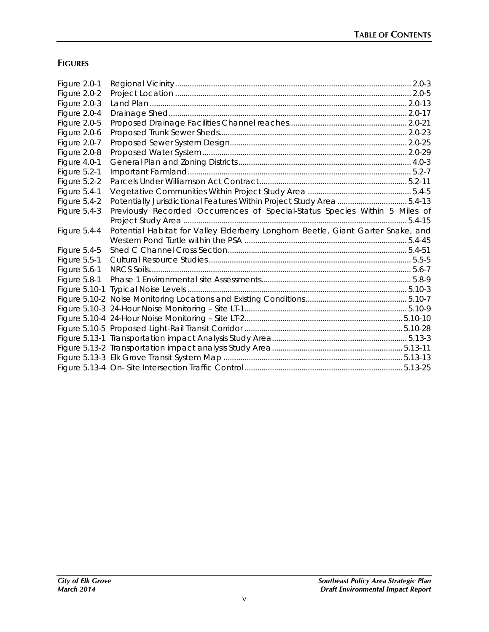# **FIGURES**

| Figure 2.0-1        |                                                                                  |  |
|---------------------|----------------------------------------------------------------------------------|--|
| Figure 2.0-2        |                                                                                  |  |
| Figure 2.0-3        |                                                                                  |  |
| Figure 2.0-4        |                                                                                  |  |
| Figure 2.0-5        |                                                                                  |  |
| Figure 2.0-6        |                                                                                  |  |
| Figure 2.0-7        |                                                                                  |  |
| Figure 2.0-8        |                                                                                  |  |
| Figure 4.0-1        |                                                                                  |  |
| Figure 5.2-1        |                                                                                  |  |
| Figure 5.2-2        |                                                                                  |  |
| Figure 5.4-1        |                                                                                  |  |
| Figure 5.4-2        | Potentially Jurisdictional Features Within Project Study Area  5.4-13            |  |
| Figure 5.4-3        | Previously Recorded Occurrences of Special-Status Species Within 5 Miles of      |  |
|                     |                                                                                  |  |
|                     |                                                                                  |  |
| Figure 5.4-4        | Potential Habitat for Valley Elderberry Longhorn Beetle, Giant Garter Snake, and |  |
|                     |                                                                                  |  |
| <b>Figure 5.4-5</b> |                                                                                  |  |
| Figure 5.5-1        |                                                                                  |  |
| Figure 5.6-1        |                                                                                  |  |
| Figure 5.8-1        |                                                                                  |  |
|                     |                                                                                  |  |
|                     |                                                                                  |  |
|                     |                                                                                  |  |
|                     |                                                                                  |  |
|                     |                                                                                  |  |
|                     |                                                                                  |  |
|                     |                                                                                  |  |
|                     |                                                                                  |  |